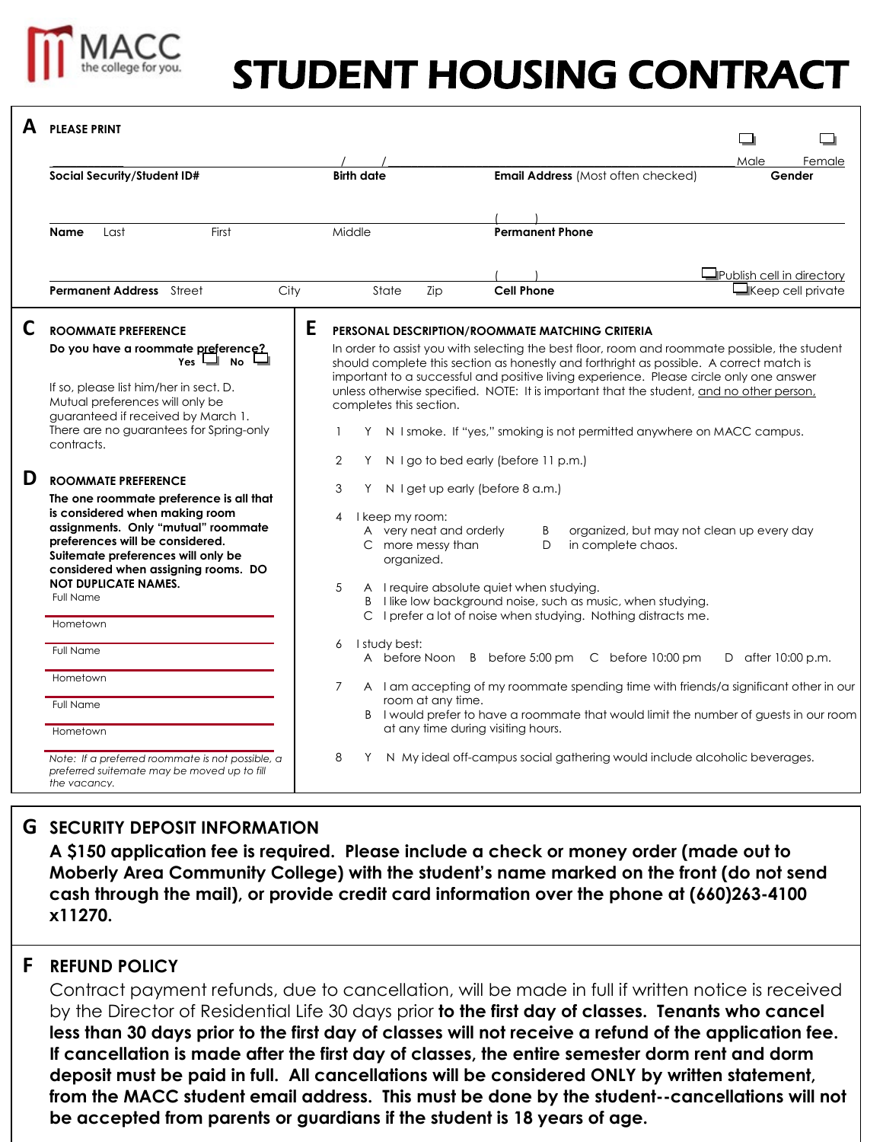

# STUDENT HOUSING CONTRACT

|   | <b>PLEASE PRINT</b>                                                                                                                                                                                                                                                                                        |                                                                                                                                       |                                                                                                                                                                                                                                                                                                                                                                                                                                    |                           |
|---|------------------------------------------------------------------------------------------------------------------------------------------------------------------------------------------------------------------------------------------------------------------------------------------------------------|---------------------------------------------------------------------------------------------------------------------------------------|------------------------------------------------------------------------------------------------------------------------------------------------------------------------------------------------------------------------------------------------------------------------------------------------------------------------------------------------------------------------------------------------------------------------------------|---------------------------|
|   | Social Security/Student ID#                                                                                                                                                                                                                                                                                | <b>Birth date</b>                                                                                                                     | <b>Email Address (Most often checked)</b>                                                                                                                                                                                                                                                                                                                                                                                          | Male<br>Female<br>Gender  |
|   | First<br><b>Name</b><br>Last                                                                                                                                                                                                                                                                               | Middle                                                                                                                                | <b>Permanent Phone</b>                                                                                                                                                                                                                                                                                                                                                                                                             |                           |
|   |                                                                                                                                                                                                                                                                                                            |                                                                                                                                       |                                                                                                                                                                                                                                                                                                                                                                                                                                    | Publish cell in directory |
|   | <b>Permanent Address</b> Street<br>City                                                                                                                                                                                                                                                                    | State<br>Zip                                                                                                                          | <b>Cell Phone</b>                                                                                                                                                                                                                                                                                                                                                                                                                  | $\Box$ Keep cell private  |
| C | <b>ROOMMATE PREFERENCE</b><br>Do you have a roommate preference?<br>Yes l<br><b>No</b><br>If so, please list him/her in sect. D.                                                                                                                                                                           | E                                                                                                                                     | PERSONAL DESCRIPTION/ROOMMATE MATCHING CRITERIA<br>In order to assist you with selecting the best floor, room and roommate possible, the student<br>should complete this section as honestly and forthright as possible. A correct match is<br>important to a successful and positive living experience. Please circle only one answer<br>unless otherwise specified. NOTE: It is important that the student, and no other person. |                           |
|   | Mutual preferences will only be<br>guaranteed if received by March 1.<br>There are no guarantees for Spring-only<br>contracts.                                                                                                                                                                             | completes this section.<br>1<br>Y.<br>$\overline{2}$<br>Y.                                                                            | N I smoke. If "yes," smoking is not permitted anywhere on MACC campus.<br>N I go to bed early (before 11 p.m.)                                                                                                                                                                                                                                                                                                                     |                           |
| D | <b>ROOMMATE PREFERENCE</b><br>The one roommate preference is all that<br>is considered when making room<br>assignments. Only "mutual" roommate<br>preferences will be considered.<br>Suitemate preferences will only be<br>considered when assigning rooms. DO<br><b>NOT DUPLICATE NAMES.</b><br>Full Name | 3<br>N I get up early (before 8 a.m.)<br>Y<br>I keep my room:<br>4<br>A very neat and orderly<br>C more messy than<br>organized.<br>5 | organized, but may not clean up every day<br>B<br>in complete chaos.<br>D<br>A I require absolute quiet when studying.<br>B I like low background noise, such as music, when studying.                                                                                                                                                                                                                                             |                           |
|   | Hometown<br>Full Name<br>Hometown<br>Full Name<br>Hometown                                                                                                                                                                                                                                                 | I study best:<br>6<br>7<br>room at any time.<br>at any time during visiting hours.                                                    | C I prefer a lot of noise when studying. Nothing distracts me.<br>A before Noon B before 5:00 pm C before 10:00 pm<br>A I am accepting of my roommate spending time with friends/a significant other in our<br>B I would prefer to have a roommate that would limit the number of guests in our room                                                                                                                               | D after 10:00 p.m.        |
|   | Note: If a preferred roommate is not possible, a<br>preferred suitemate may be moved up to fill<br>the vacancy.                                                                                                                                                                                            | 8<br>Y                                                                                                                                | N My ideal off-campus social gathering would include alcoholic beverages.                                                                                                                                                                                                                                                                                                                                                          |                           |

## **G SECURITY DEPOSIT INFORMATION**

**A \$150 application fee is required. Please include a check or money order (made out to Moberly Area Community College) with the student's name marked on the front (do not send cash through the mail), or provide credit card information over the phone at (660)263-4100 x11270.**

### **F REFUND POLICY**

Contract payment refunds, due to cancellation, will be made in full if written notice is received by the Director of Residential Life 30 days prior **to the first day of classes. Tenants who cancel less than 30 days prior to the first day of classes will not receive a refund of the application fee. If cancellation is made after the first day of classes, the entire semester dorm rent and dorm deposit must be paid in full. All cancellations will be considered ONLY by written statement, from the MACC student email address. This must be done by the student--cancellations will not be accepted from parents or guardians if the student is 18 years of age.**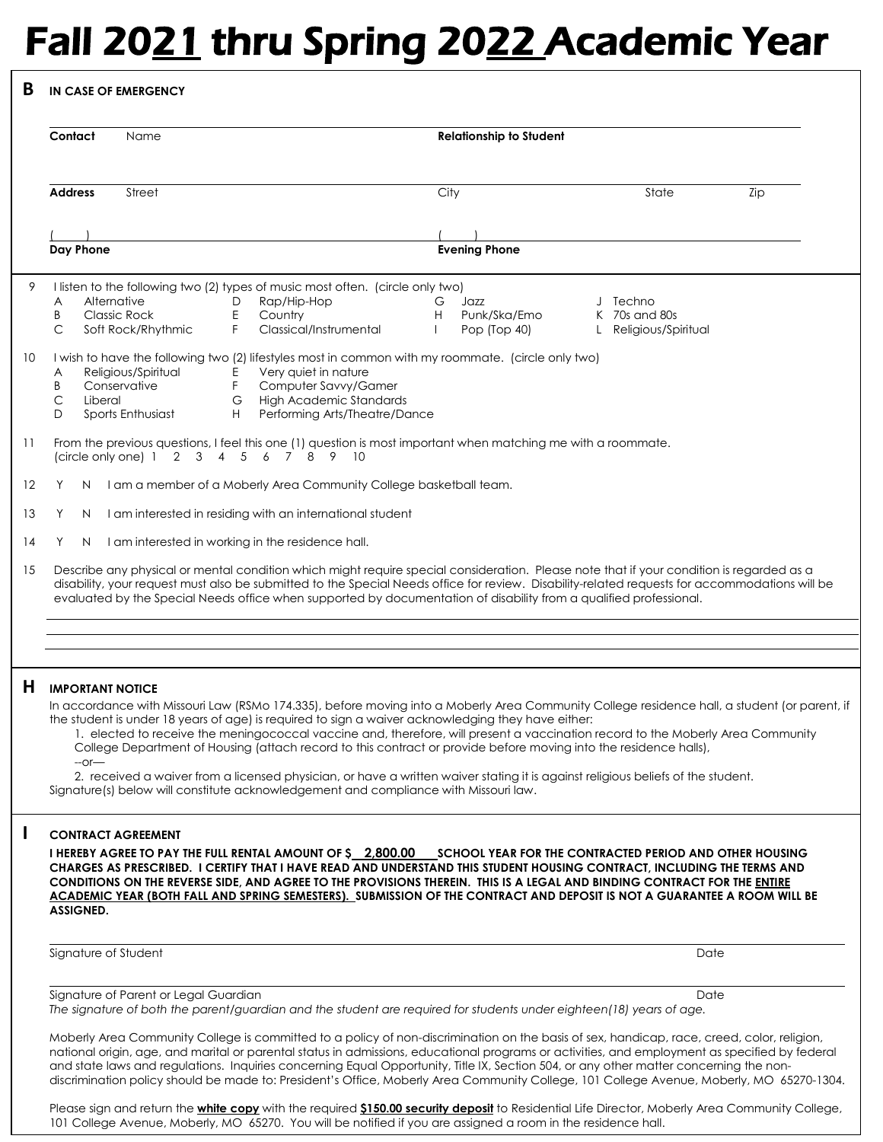# Fall 2021 thru Spring 2022 Academic Year

### **B IN CASE OF EMERGENCY**

|    | Contact                                                                                                                                                                                                                                                                                                                                                                                                          | Name                                                                                                                                                                                    |        |                                                                                                                                                                                                                                                                                          |              | <b>Relationship to Student</b> |  |                                                         |     |  |  |
|----|------------------------------------------------------------------------------------------------------------------------------------------------------------------------------------------------------------------------------------------------------------------------------------------------------------------------------------------------------------------------------------------------------------------|-----------------------------------------------------------------------------------------------------------------------------------------------------------------------------------------|--------|------------------------------------------------------------------------------------------------------------------------------------------------------------------------------------------------------------------------------------------------------------------------------------------|--------------|--------------------------------|--|---------------------------------------------------------|-----|--|--|
|    |                                                                                                                                                                                                                                                                                                                                                                                                                  |                                                                                                                                                                                         |        |                                                                                                                                                                                                                                                                                          |              |                                |  |                                                         |     |  |  |
|    | <b>Address</b>                                                                                                                                                                                                                                                                                                                                                                                                   | Street                                                                                                                                                                                  |        |                                                                                                                                                                                                                                                                                          | City         |                                |  | State                                                   | Zip |  |  |
|    |                                                                                                                                                                                                                                                                                                                                                                                                                  |                                                                                                                                                                                         |        |                                                                                                                                                                                                                                                                                          |              |                                |  |                                                         |     |  |  |
|    | Day Phone                                                                                                                                                                                                                                                                                                                                                                                                        |                                                                                                                                                                                         |        |                                                                                                                                                                                                                                                                                          |              | <b>Evening Phone</b>           |  |                                                         |     |  |  |
| 9  |                                                                                                                                                                                                                                                                                                                                                                                                                  |                                                                                                                                                                                         |        | I listen to the following two (2) types of music most often. (circle only two)                                                                                                                                                                                                           |              |                                |  |                                                         |     |  |  |
|    | A<br>Β                                                                                                                                                                                                                                                                                                                                                                                                           | Alternative<br><b>Classic Rock</b>                                                                                                                                                      | D<br>Ε | Rap/Hip-Hop<br>Country                                                                                                                                                                                                                                                                   | G<br>Н       | Jazz<br>Punk/Ska/Emo           |  | Techno<br>K 70s and 80s                                 |     |  |  |
|    | C                                                                                                                                                                                                                                                                                                                                                                                                                | Soft Rock/Rhythmic                                                                                                                                                                      | F      | Classical/Instrumental                                                                                                                                                                                                                                                                   | $\mathbf{L}$ | Pop (Top 40)                   |  | Religious/Spiritual                                     |     |  |  |
| 10 | I wish to have the following two (2) lifestyles most in common with my roommate. (circle only two)                                                                                                                                                                                                                                                                                                               |                                                                                                                                                                                         |        |                                                                                                                                                                                                                                                                                          |              |                                |  |                                                         |     |  |  |
|    | Religious/Spiritual<br>Very quiet in nature<br>E<br>Α                                                                                                                                                                                                                                                                                                                                                            |                                                                                                                                                                                         |        |                                                                                                                                                                                                                                                                                          |              |                                |  |                                                         |     |  |  |
|    | Β                                                                                                                                                                                                                                                                                                                                                                                                                | Conservative                                                                                                                                                                            | F.     | Computer Savvy/Gamer                                                                                                                                                                                                                                                                     |              |                                |  |                                                         |     |  |  |
|    | С<br>Liberal<br>D                                                                                                                                                                                                                                                                                                                                                                                                | Sports Enthusiast                                                                                                                                                                       | G<br>H | <b>High Academic Standards</b><br>Performing Arts/Theatre/Dance                                                                                                                                                                                                                          |              |                                |  |                                                         |     |  |  |
|    |                                                                                                                                                                                                                                                                                                                                                                                                                  |                                                                                                                                                                                         |        |                                                                                                                                                                                                                                                                                          |              |                                |  |                                                         |     |  |  |
| 11 |                                                                                                                                                                                                                                                                                                                                                                                                                  | From the previous questions, I feel this one (1) question is most important when matching me with a roommate.<br>6<br>7 8 9<br>(circle only one) $1 \t2 \t3 \t4 \t5$<br>$\overline{10}$ |        |                                                                                                                                                                                                                                                                                          |              |                                |  |                                                         |     |  |  |
| 12 |                                                                                                                                                                                                                                                                                                                                                                                                                  |                                                                                                                                                                                         |        |                                                                                                                                                                                                                                                                                          |              |                                |  |                                                         |     |  |  |
|    | N.                                                                                                                                                                                                                                                                                                                                                                                                               |                                                                                                                                                                                         |        | I am a member of a Moberly Area Community College basketball team.                                                                                                                                                                                                                       |              |                                |  |                                                         |     |  |  |
| 13 | Y<br>N                                                                                                                                                                                                                                                                                                                                                                                                           |                                                                                                                                                                                         |        | I am interested in residing with an international student                                                                                                                                                                                                                                |              |                                |  |                                                         |     |  |  |
| 14 | Y<br>N                                                                                                                                                                                                                                                                                                                                                                                                           |                                                                                                                                                                                         |        | I am interested in working in the residence hall.                                                                                                                                                                                                                                        |              |                                |  |                                                         |     |  |  |
| 15 | Describe any physical or mental condition which might require special consideration. Please note that if your condition is regarded as a<br>disability, your request must also be submitted to the Special Needs office for review. Disability-related requests for accommodations will be<br>evaluated by the Special Needs office when supported by documentation of disability from a qualified professional. |                                                                                                                                                                                         |        |                                                                                                                                                                                                                                                                                          |              |                                |  |                                                         |     |  |  |
|    |                                                                                                                                                                                                                                                                                                                                                                                                                  |                                                                                                                                                                                         |        |                                                                                                                                                                                                                                                                                          |              |                                |  |                                                         |     |  |  |
|    |                                                                                                                                                                                                                                                                                                                                                                                                                  |                                                                                                                                                                                         |        |                                                                                                                                                                                                                                                                                          |              |                                |  |                                                         |     |  |  |
|    |                                                                                                                                                                                                                                                                                                                                                                                                                  |                                                                                                                                                                                         |        |                                                                                                                                                                                                                                                                                          |              |                                |  |                                                         |     |  |  |
|    |                                                                                                                                                                                                                                                                                                                                                                                                                  |                                                                                                                                                                                         |        |                                                                                                                                                                                                                                                                                          |              |                                |  |                                                         |     |  |  |
|    |                                                                                                                                                                                                                                                                                                                                                                                                                  |                                                                                                                                                                                         |        |                                                                                                                                                                                                                                                                                          |              |                                |  |                                                         |     |  |  |
|    | <b>IMPORTANT NOTICE</b>                                                                                                                                                                                                                                                                                                                                                                                          |                                                                                                                                                                                         |        |                                                                                                                                                                                                                                                                                          |              |                                |  |                                                         |     |  |  |
|    |                                                                                                                                                                                                                                                                                                                                                                                                                  |                                                                                                                                                                                         |        | In accordance with Missouri Law (RSMo 174.335), before moving into a Moberly Area Community College residence hall, a student (or parent, if                                                                                                                                             |              |                                |  |                                                         |     |  |  |
|    |                                                                                                                                                                                                                                                                                                                                                                                                                  |                                                                                                                                                                                         |        | the student is under 18 years of age) is required to sign a waiver acknowledging they have either:                                                                                                                                                                                       |              |                                |  |                                                         |     |  |  |
|    |                                                                                                                                                                                                                                                                                                                                                                                                                  |                                                                                                                                                                                         |        | 1. elected to receive the meningococcal vaccine and, therefore, will present a vaccination record to the Moberly Area Community                                                                                                                                                          |              |                                |  |                                                         |     |  |  |
|    | $-$ or $-$                                                                                                                                                                                                                                                                                                                                                                                                       |                                                                                                                                                                                         |        | College Department of Housing (attach record to this contract or provide before moving into the residence halls),                                                                                                                                                                        |              |                                |  |                                                         |     |  |  |
|    |                                                                                                                                                                                                                                                                                                                                                                                                                  |                                                                                                                                                                                         |        | 2. received a waiver from a licensed physician, or have a written waiver stating it is against religious beliefs of the student.                                                                                                                                                         |              |                                |  |                                                         |     |  |  |
|    |                                                                                                                                                                                                                                                                                                                                                                                                                  |                                                                                                                                                                                         |        | Signature(s) below will constitute acknowledgement and compliance with Missouri law.                                                                                                                                                                                                     |              |                                |  |                                                         |     |  |  |
|    |                                                                                                                                                                                                                                                                                                                                                                                                                  |                                                                                                                                                                                         |        |                                                                                                                                                                                                                                                                                          |              |                                |  |                                                         |     |  |  |
|    |                                                                                                                                                                                                                                                                                                                                                                                                                  | <b>CONTRACT AGREEMENT</b>                                                                                                                                                               |        |                                                                                                                                                                                                                                                                                          |              |                                |  |                                                         |     |  |  |
|    |                                                                                                                                                                                                                                                                                                                                                                                                                  |                                                                                                                                                                                         |        | I HEREBY AGREE TO PAY THE FULL RENTAL AMOUNT OF \$2,800.00                                                                                                                                                                                                                               |              |                                |  | SCHOOL YEAR FOR THE CONTRACTED PERIOD AND OTHER HOUSING |     |  |  |
|    |                                                                                                                                                                                                                                                                                                                                                                                                                  |                                                                                                                                                                                         |        | CHARGES AS PRESCRIBED. I CERTIFY THAT I HAVE READ AND UNDERSTAND THIS STUDENT HOUSING CONTRACT, INCLUDING THE TERMS AND                                                                                                                                                                  |              |                                |  |                                                         |     |  |  |
|    |                                                                                                                                                                                                                                                                                                                                                                                                                  |                                                                                                                                                                                         |        | CONDITIONS ON THE REVERSE SIDE, AND AGREE TO THE PROVISIONS THEREIN. THIS IS A LEGAL AND BINDING CONTRACT FOR THE ENTIRE<br>ACADEMIC YEAR (BOTH FALL AND SPRING SEMESTERS). SUBMISSION OF THE CONTRACT AND DEPOSIT IS NOT A GUARANTEE A ROOM WILL BE                                     |              |                                |  |                                                         |     |  |  |
|    | <b>ASSIGNED.</b>                                                                                                                                                                                                                                                                                                                                                                                                 |                                                                                                                                                                                         |        |                                                                                                                                                                                                                                                                                          |              |                                |  |                                                         |     |  |  |
|    |                                                                                                                                                                                                                                                                                                                                                                                                                  |                                                                                                                                                                                         |        |                                                                                                                                                                                                                                                                                          |              |                                |  |                                                         |     |  |  |
|    |                                                                                                                                                                                                                                                                                                                                                                                                                  | Signature of Student                                                                                                                                                                    |        |                                                                                                                                                                                                                                                                                          |              |                                |  | Date                                                    |     |  |  |
|    |                                                                                                                                                                                                                                                                                                                                                                                                                  |                                                                                                                                                                                         |        |                                                                                                                                                                                                                                                                                          |              |                                |  |                                                         |     |  |  |
| H  |                                                                                                                                                                                                                                                                                                                                                                                                                  | Signature of Parent or Legal Guardian                                                                                                                                                   |        | The signature of both the parent/guardian and the student are required for students under eighteen(18) years of age.                                                                                                                                                                     |              |                                |  | Date                                                    |     |  |  |
|    |                                                                                                                                                                                                                                                                                                                                                                                                                  |                                                                                                                                                                                         |        |                                                                                                                                                                                                                                                                                          |              |                                |  |                                                         |     |  |  |
|    |                                                                                                                                                                                                                                                                                                                                                                                                                  |                                                                                                                                                                                         |        | Moberly Area Community College is committed to a policy of non-discrimination on the basis of sex, handicap, race, creed, color, religion,                                                                                                                                               |              |                                |  |                                                         |     |  |  |
|    |                                                                                                                                                                                                                                                                                                                                                                                                                  |                                                                                                                                                                                         |        | national origin, age, and marital or parental status in admissions, educational programs or activities, and employment as specified by federal<br>and state laws and regulations. Inquiries concerning Equal Opportunity, Title IX, Section 504, or any other matter concerning the non- |              |                                |  |                                                         |     |  |  |

Please sign and return the **white copy** with the required **\$150.00 security deposit** to Residential Life Director, Moberly Area Community College, 101 College Avenue, Moberly, MO 65270. You will be notified if you are assigned a room in the residence hall.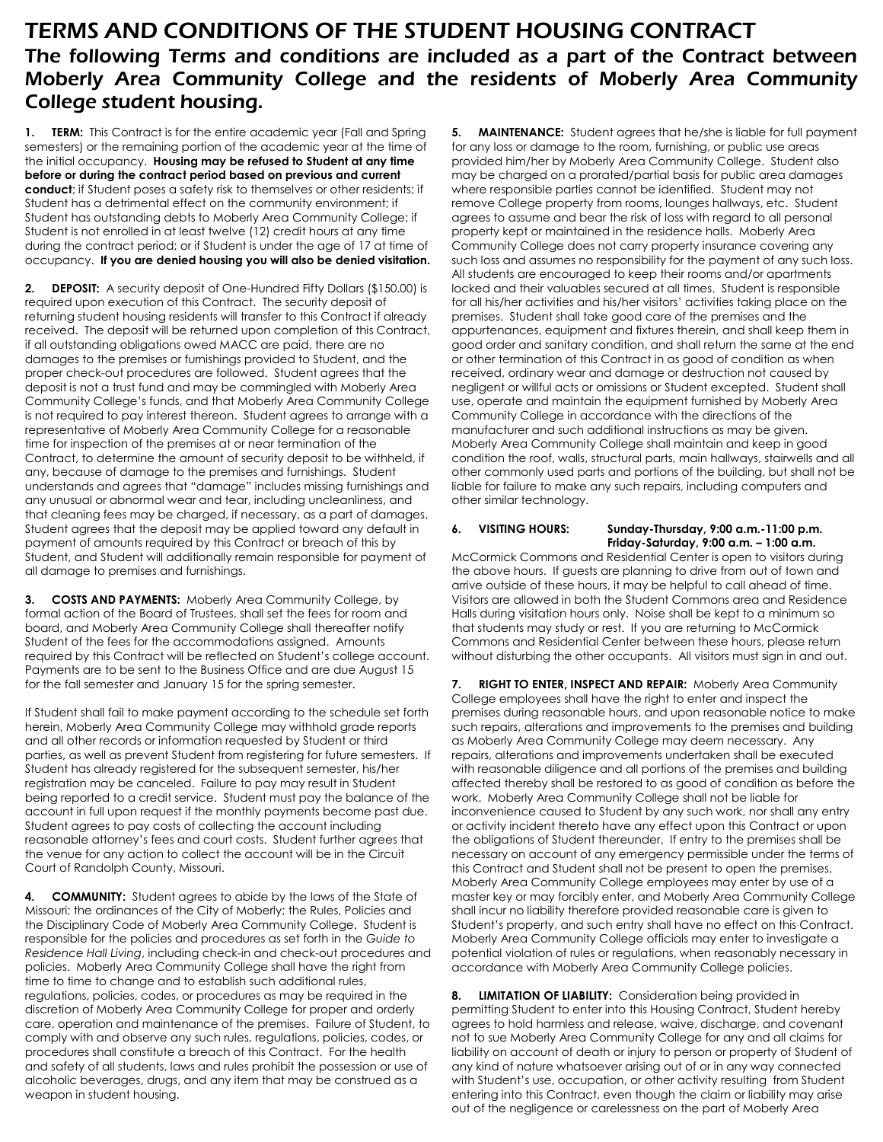# TERMS AND CONDITIONS OF THE STUDENT HOUSING CONTRACT The following Terms and conditions are included as a part of the Contract between Moberly Area Community College and the residents of Moberly Area Community College student housing.

**1. <b>TERM:** This Contract is for the entire academic year (Fall and Spring semesters) or the remaining portion of the academic year at the time of the initial occupancy. **Housing may be refused to Student at any time before or during the contract period based on previous and current conduct**; if Student poses a safety risk to themselves or other residents; if Student has a detrimental effect on the community environment; if Student has outstanding debts to Moberly Area Community College; if Student is not enrolled in at least twelve (12) credit hours at any time during the contract period; or if Student is under the age of 17 at time of occupancy. **If you are denied housing you will also be denied visitation.**

**2. DEPOSIT:** A security deposit of One-Hundred Fifty Dollars (\$150.00) is required upon execution of this Contract. The security deposit of returning student housing residents will transfer to this Contract if already received. The deposit will be returned upon completion of this Contract, if all outstanding obligations owed MACC are paid, there are no damages to the premises or furnishings provided to Student, and the proper check-out procedures are followed. Student agrees that the deposit is not a trust fund and may be commingled with Moberly Area Community College's funds, and that Moberly Area Community College is not required to pay interest thereon. Student agrees to arrange with a representative of Moberly Area Community College for a reasonable time for inspection of the premises at or near termination of the Contract, to determine the amount of security deposit to be withheld, if any, because of damage to the premises and furnishings. Student understands and agrees that "damage" includes missing furnishings and any unusual or abnormal wear and tear, including uncleanliness, and that cleaning fees may be charged, if necessary, as a part of damages. Student agrees that the deposit may be applied toward any default in payment of amounts required by this Contract or breach of this by Student, and Student will additionally remain responsible for payment of all damage to premises and furnishings.

**3. COSTS AND PAYMENTS:** Moberly Area Community College, by formal action of the Board of Trustees, shall set the fees for room and board, and Moberly Area Community College shall thereafter notify Student of the fees for the accommodations assigned. Amounts required by this Contract will be reflected on Student's college account. Payments are to be sent to the Business Office and are due August 15 for the fall semester and January 15 for the spring semester.

If Student shall fail to make payment according to the schedule set forth herein, Moberly Area Community College may withhold grade reports and all other records or information requested by Student or third parties, as well as prevent Student from registering for future semesters. If Student has already registered for the subsequent semester, his/her registration may be canceled. Failure to pay may result in Student being reported to a credit service. Student must pay the balance of the account in full upon request if the monthly payments become past due. Student agrees to pay costs of collecting the account including reasonable attorney's fees and court costs. Student further agrees that the venue for any action to collect the account will be in the Circuit Court of Randolph County, Missouri.

**4. COMMUNITY:** Student agrees to abide by the laws of the State of Missouri; the ordinances of the City of Moberly; the Rules, Policies and the Disciplinary Code of Moberly Area Community College. Student is responsible for the policies and procedures as set forth in the *Guide to Residence Hall Living*, including check-in and check-out procedures and policies. Moberly Area Community College shall have the right from time to time to change and to establish such additional rules, regulations, policies, codes, or procedures as may be required in the discretion of Moberly Area Community College for proper and orderly care, operation and maintenance of the premises. Failure of Student, to comply with and observe any such rules, regulations, policies, codes, or procedures shall constitute a breach of this Contract. For the health and safety of all students, laws and rules prohibit the possession or use of alcoholic beverages, drugs, and any item that may be construed as a weapon in student housing.

**5. MAINTENANCE:** Student agrees that he/she is liable for full payment for any loss or damage to the room, furnishing, or public use areas provided him/her by Moberly Area Community College. Student also may be charged on a prorated/partial basis for public area damages where responsible parties cannot be identified. Student may not remove College property from rooms, lounges hallways, etc. Student agrees to assume and bear the risk of loss with regard to all personal property kept or maintained in the residence halls. Moberly Area Community College does not carry property insurance covering any such loss and assumes no responsibility for the payment of any such loss. All students are encouraged to keep their rooms and/or apartments locked and their valuables secured at all times. Student is responsible for all his/her activities and his/her visitors' activities taking place on the premises. Student shall take good care of the premises and the appurtenances, equipment and fixtures therein, and shall keep them in good order and sanitary condition, and shall return the same at the end or other termination of this Contract in as good of condition as when received, ordinary wear and damage or destruction not caused by negligent or willful acts or omissions or Student excepted. Student shall use, operate and maintain the equipment furnished by Moberly Area Community College in accordance with the directions of the manufacturer and such additional instructions as may be given. Moberly Area Community College shall maintain and keep in good condition the roof, walls, structural parts, main hallways, stairwells and all other commonly used parts and portions of the building, but shall not be liable for failure to make any such repairs, including computers and other similar technology.

**6. VISITING HOURS: Sunday-Thursday, 9:00 a.m.-11:00 p.m. Friday-Saturday, 9:00 a.m. – 1:00 a.m.**

McCormick Commons and Residential Center is open to visitors during the above hours. If guests are planning to drive from out of town and arrive outside of these hours, it may be helpful to call ahead of time. Visitors are allowed in both the Student Commons area and Residence Halls during visitation hours only. Noise shall be kept to a minimum so that students may study or rest. If you are returning to McCormick Commons and Residential Center between these hours, please return without disturbing the other occupants. All visitors must sign in and out.

**7. RIGHT TO ENTER, INSPECT AND REPAIR:** Moberly Area Community College employees shall have the right to enter and inspect the premises during reasonable hours, and upon reasonable notice to make such repairs, alterations and improvements to the premises and building as Moberly Area Community College may deem necessary. Any repairs, alterations and improvements undertaken shall be executed with reasonable diligence and all portions of the premises and building affected thereby shall be restored to as good of condition as before the work. Moberly Area Community College shall not be liable for inconvenience caused to Student by any such work, nor shall any entry or activity incident thereto have any effect upon this Contract or upon the obligations of Student thereunder. If entry to the premises shall be necessary on account of any emergency permissible under the terms of this Contract and Student shall not be present to open the premises, Moberly Area Community College employees may enter by use of a master key or may forcibly enter, and Moberly Area Community College shall incur no liability therefore provided reasonable care is given to Student's property, and such entry shall have no effect on this Contract. Moberly Area Community College officials may enter to investigate a potential violation of rules or regulations, when reasonably necessary in accordance with Moberly Area Community College policies.

**8. LIMITATION OF LIABILITY:** Consideration being provided in permitting Student to enter into this Housing Contract, Student hereby agrees to hold harmless and release, waive, discharge, and covenant not to sue Moberly Area Community College for any and all claims for liability on account of death or injury to person or property of Student of any kind of nature whatsoever arising out of or in any way connected with Student's use, occupation, or other activity resulting from Student entering into this Contract, even though the claim or liability may arise out of the negligence or carelessness on the part of Moberly Area